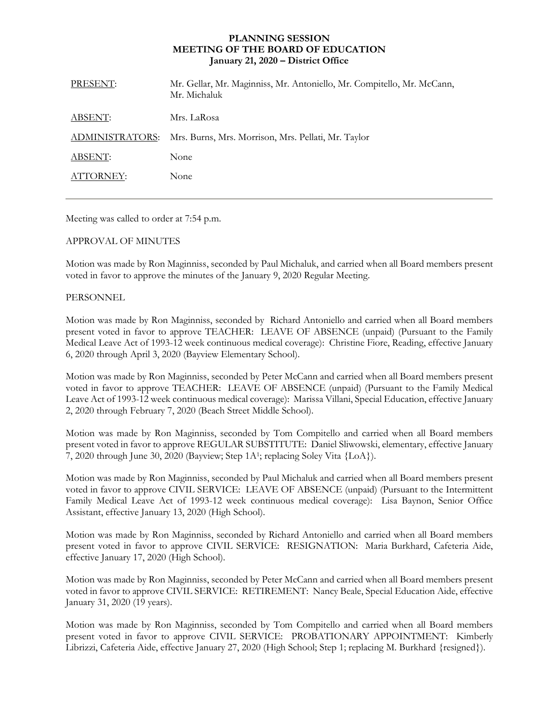## **PLANNING SESSION MEETING OF THE BOARD OF EDUCATION January 21, 2020 – District Office**

| PRESENT:               | Mr. Gellar, Mr. Maginniss, Mr. Antoniello, Mr. Compitello, Mr. McCann,<br>Mr. Michaluk |
|------------------------|----------------------------------------------------------------------------------------|
| ABSENT:                | Mrs. LaRosa                                                                            |
| <b>ADMINISTRATORS:</b> | Mrs. Burns, Mrs. Morrison, Mrs. Pellati, Mr. Taylor                                    |
| ABSENT:                | None                                                                                   |
| ATTORNEY:              | None                                                                                   |
|                        |                                                                                        |

Meeting was called to order at 7:54 p.m.

## APPROVAL OF MINUTES

Motion was made by Ron Maginniss, seconded by Paul Michaluk, and carried when all Board members present voted in favor to approve the minutes of the January 9, 2020 Regular Meeting.

## PERSONNEL

Motion was made by Ron Maginniss, seconded by Richard Antoniello and carried when all Board members present voted in favor to approve TEACHER:LEAVE OF ABSENCE (unpaid) (Pursuant to the Family Medical Leave Act of 1993-12 week continuous medical coverage): Christine Fiore, Reading, effective January 6, 2020 through April 3, 2020 (Bayview Elementary School).

Motion was made by Ron Maginniss, seconded by Peter McCann and carried when all Board members present voted in favor to approve TEACHER:LEAVE OF ABSENCE (unpaid) (Pursuant to the Family Medical Leave Act of 1993-12 week continuous medical coverage): Marissa Villani, Special Education, effective January 2, 2020 through February 7, 2020 (Beach Street Middle School).

Motion was made by Ron Maginniss, seconded by Tom Compitello and carried when all Board members present voted in favor to approve REGULAR SUBSTITUTE: Daniel Sliwowski, elementary, effective January 7, 2020 through June 30, 2020 (Bayview; Step 1A<sup>1</sup> ; replacing Soley Vita {LoA}).

Motion was made by Ron Maginniss, seconded by Paul Michaluk and carried when all Board members present voted in favor to approve CIVIL SERVICE:LEAVE OF ABSENCE (unpaid) (Pursuant to the Intermittent Family Medical Leave Act of 1993-12 week continuous medical coverage): Lisa Baynon, Senior Office Assistant, effective January 13, 2020 (High School).

Motion was made by Ron Maginniss, seconded by Richard Antoniello and carried when all Board members present voted in favor to approve CIVIL SERVICE:RESIGNATION: Maria Burkhard, Cafeteria Aide, effective January 17, 2020 (High School).

Motion was made by Ron Maginniss, seconded by Peter McCann and carried when all Board members present voted in favor to approve CIVIL SERVICE:RETIREMENT: Nancy Beale, Special Education Aide, effective January 31, 2020 (19 years).

Motion was made by Ron Maginniss, seconded by Tom Compitello and carried when all Board members present voted in favor to approve CIVIL SERVICE:PROBATIONARY APPOINTMENT: Kimberly Librizzi, Cafeteria Aide, effective January 27, 2020 (High School; Step 1; replacing M. Burkhard {resigned}).